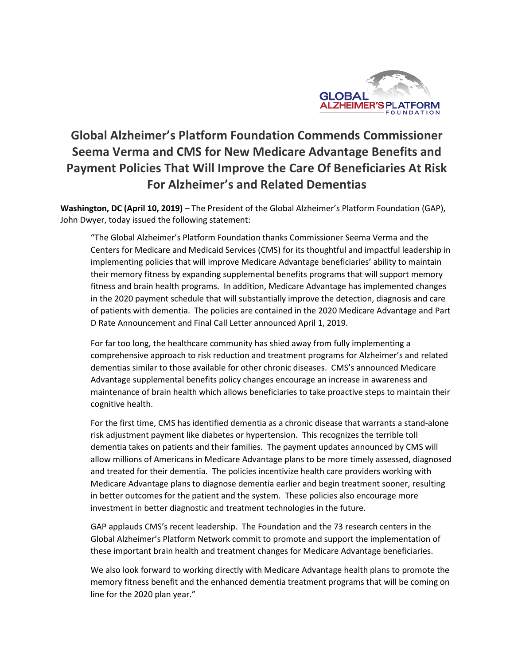

## **Global Alzheimer's Platform Foundation Commends Commissioner Seema Verma and CMS for New Medicare Advantage Benefits and Payment Policies That Will Improve the Care Of Beneficiaries At Risk For Alzheimer's and Related Dementias**

**Washington, DC (April 10, 2019)** – The President of the Global Alzheimer's Platform Foundation (GAP), John Dwyer, today issued the following statement:

"The Global Alzheimer's Platform Foundation thanks Commissioner Seema Verma and the Centers for Medicare and Medicaid Services (CMS) for its thoughtful and impactful leadership in implementing policies that will improve Medicare Advantage beneficiaries' ability to maintain their memory fitness by expanding supplemental benefits programs that will support memory fitness and brain health programs. In addition, Medicare Advantage has implemented changes in the 2020 payment schedule that will substantially improve the detection, diagnosis and care of patients with dementia. The policies are contained in the 2020 Medicare Advantage and Part D Rate Announcement and Final Call Letter announced April 1, 2019.

For far too long, the healthcare community has shied away from fully implementing a comprehensive approach to risk reduction and treatment programs for Alzheimer's and related dementias similar to those available for other chronic diseases. CMS's announced Medicare Advantage supplemental benefits policy changes encourage an increase in awareness and maintenance of brain health which allows beneficiaries to take proactive steps to maintain their cognitive health.

For the first time, CMS has identified dementia as a chronic disease that warrants a stand-alone risk adjustment payment like diabetes or hypertension. This recognizes the terrible toll dementia takes on patients and their families. The payment updates announced by CMS will allow millions of Americans in Medicare Advantage plans to be more timely assessed, diagnosed and treated for their dementia. The policies incentivize health care providers working with Medicare Advantage plans to diagnose dementia earlier and begin treatment sooner, resulting in better outcomes for the patient and the system. These policies also encourage more investment in better diagnostic and treatment technologies in the future.

GAP applauds CMS's recent leadership. The Foundation and the 73 research centers in the Global Alzheimer's Platform Network commit to promote and support the implementation of these important brain health and treatment changes for Medicare Advantage beneficiaries.

We also look forward to working directly with Medicare Advantage health plans to promote the memory fitness benefit and the enhanced dementia treatment programs that will be coming on line for the 2020 plan year."